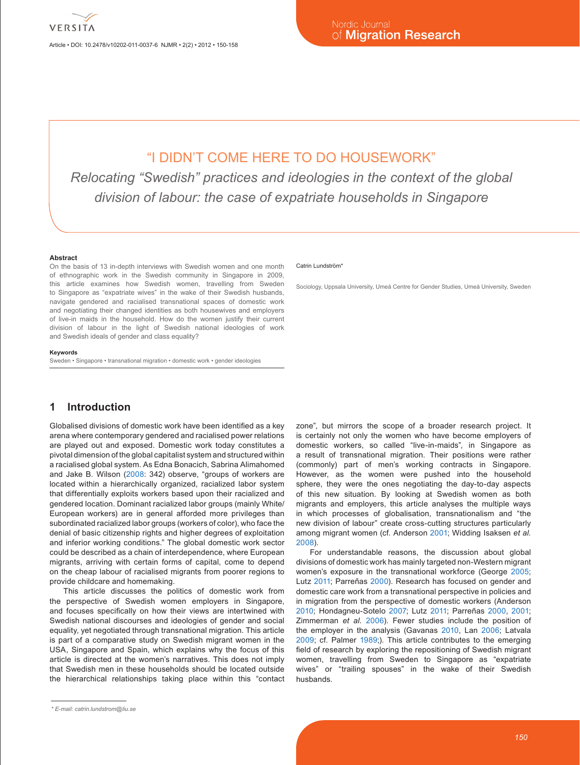Article • DOI: 10.2478/v10202-011-0037-6 NJMR • 2(2) • 2012 • 150-158

# "I DIDN'T COME HERE TO DO HOUSEWORK"

*Relocating "Swedish" practices and ideologies in the context of the global division of labour: the case of expatriate households in Singapore*

#### **Abstract**

On the basis of 13 in-depth interviews with Swedish women and one month of ethnographic work in the Swedish community in Singapore in 2009, this article examines how Swedish women, travelling from Sweden to Singapore as "expatriate wives" in the wake of their Swedish husbands, navigate gendered and racialised transnational spaces of domestic work and negotiating their changed identities as both housewives and employers of live-in maids in the household. How do the women justify their current division of labour in the light of Swedish national ideologies of work and Swedish ideals of gender and class equality?

#### **Keywords**

Sweden • Singapore • transnational migration • domestic work • gender ideologies

### **1 Introduction**

Globalised divisions of domestic work have been identified as a key arena where contemporary gendered and racialised power relations are played out and exposed. Domestic work today constitutes a pivotal dimension of the global capitalist system and structured within a racialised global system. As Edna Bonacich, Sabrina Alimahomed and Jake B. Wilson ([2008:](#page-7-0) 342) observe, "groups of workers are located within a hierarchically organized, racialized labor system that differentially exploits workers based upon their racialized and gendered location. Dominant racialized labor groups (mainly White/ European workers) are in general afforded more privileges than subordinated racialized labor groups (workers of color), who face the denial of basic citizenship rights and higher degrees of exploitation and inferior working conditions." The global domestic work sector could be described as a chain of interdependence, where European migrants, arriving with certain forms of capital, come to depend on the cheap labour of racialised migrants from poorer regions to provide childcare and homemaking.

This article discusses the politics of domestic work from the perspective of Swedish women employers in Singapore, and focuses specifically on how their views are intertwined with Swedish national discourses and ideologies of gender and social equality, yet negotiated through transnational migration. This article is part of a comparative study on Swedish migrant women in the USA, Singapore and Spain, which explains why the focus of this article is directed at the women's narratives. This does not imply that Swedish men in these households should be located outside the hierarchical relationships taking place within this "contact

#### Catrin Lundström\*

Sociology, Uppsala University, Umeå Centre for Gender Studies, Umeå University, Sweden

zone", but mirrors the scope of a broader research project. It is certainly not only the women who have become employers of domestic workers, so called "live-in-maids", in Singapore as a result of transnational migration. Their positions were rather (commonly) part of men's working contracts in Singapore. However, as the women were pushed into the household sphere, they were the ones negotiating the day-to-day aspects of this new situation. By looking at Swedish women as both migrants and employers, this article analyses the multiple ways in which processes of globalisation, transnationalism and "the new division of labour" create cross-cutting structures particularly among migrant women (cf. Anderson [2001;](#page-6-0) Widding Isaksen *et al.* [2008](#page-8-0)).

For understandable reasons, the discussion about global divisions of domestic work has mainly targeted non-Western migrant women's exposure in the transnational workforce (George [2005](#page-7-1); Lutz [2011](#page-7-2); Parreñas [2000\)](#page-7-3). Research has focused on gender and domestic care work from a transnational perspective in policies and in migration from the perspective of domestic workers (Anderson [2010;](#page-6-1) Hondagneu-Sotelo [2007](#page-7-4); Lutz [2011](#page-7-2); Parreñas [2000](#page-7-3), [2001](#page-7-5); Zimmerman *et al.* [2006](#page-8-1)). Fewer studies include the position of the employer in the analysis (Gavanas [2010](#page-7-6), Lan [2006;](#page-7-7) Latvala [2009;](#page-7-8) cf. Palmer [1989;](#page-7-9)). This article contributes to the emerging field of research by exploring the repositioning of Swedish migrant women, travelling from Sweden to Singapore as "expatriate wives" or "trailing spouses" in the wake of their Swedish husbands.

*<sup>\*</sup> E-mail: catrin.lundstrom@liu.se*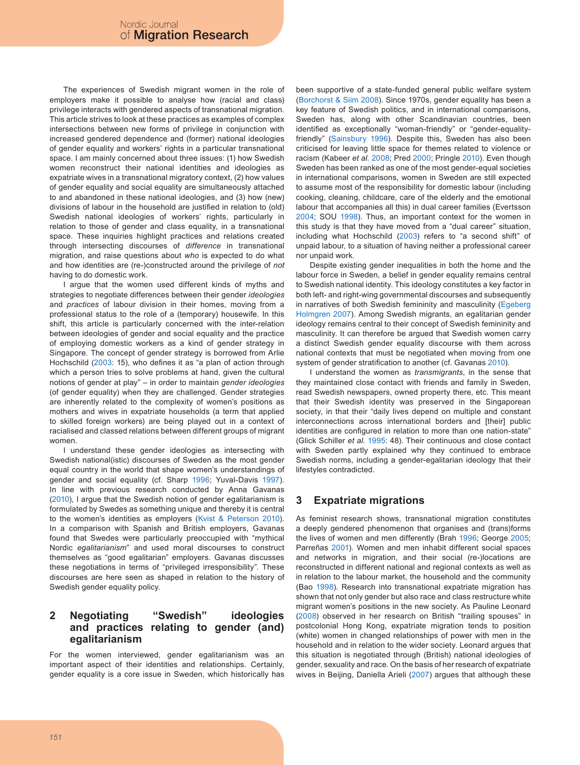The experiences of Swedish migrant women in the role of employers make it possible to analyse how (racial and class) privilege interacts with gendered aspects of transnational migration. This article strives to look at these practices as examples of complex intersections between new forms of privilege in conjunction with increased gendered dependence and (former) national ideologies of gender equality and workers' rights in a particular transnational space. I am mainly concerned about three issues: (1) how Swedish women reconstruct their national identities and ideologies as expatriate wives in a transnational migratory context, (2) how values of gender equality and social equality are simultaneously attached to and abandoned in these national ideologies, and (3) how (new) divisions of labour in the household are justified in relation to (old) Swedish national ideologies of workers' rights, particularly in relation to those of gender and class equality, in a transnational space. These inquiries highlight practices and relations created through intersecting discourses of *difference* in transnational migration, and raise questions about *who* is expected to do what and how identities are (re-)constructed around the privilege of *not* having to do domestic work.

I argue that the women used different kinds of myths and strategies to negotiate differences between their gender *ideologies* and *practices* of labour division in their homes, moving from a professional status to the role of a (temporary) housewife. In this shift, this article is particularly concerned with the inter-relation between ideologies of gender and social equality and the practice of employing domestic workers as a kind of gender strategy in Singapore. The concept of gender strategy is borrowed from Arlie Hochschild ([2003:](#page-7-10) 15), who defines it as "a plan of action through which a person tries to solve problems at hand, given the cultural notions of gender at play" – in order to maintain *gender ideologies*  (of gender equality) when they are challenged. Gender strategies are inherently related to the complexity of women's positions as mothers and wives in expatriate households (a term that applied to skilled foreign workers) are being played out in a context of racialised and classed relations between different groups of migrant women.

I understand these gender ideologies as intersecting with Swedish national(istic) discourses of Sweden as the most gender equal country in the world that shape women's understandings of gender and social equality (cf. Sharp [1996](#page-7-11); Yuval-Davis [1997](#page-8-2)). In line with previous research conducted by Anna Gavanas ([2010](#page-7-6)), I argue that the Swedish notion of gender egalitarianism is formulated by Swedes as something unique and thereby it is central to the women's identities as employers ([Kvist & Peterson 2010](#page-7-12)). In a comparison with Spanish and British employers, Gavanas found that Swedes were particularly preoccupied with "mythical Nordic *egalitarianism*" and used moral discourses to construct themselves as "good egalitarian" employers. Gavanas discusses these negotiations in terms of "privileged irresponsibility". These discourses are here seen as shaped in relation to the history of Swedish gender equality policy.

#### **2 Negotiating "Swedish" ideologies and practices relating to gender (and) egalitarianism**

For the women interviewed, gender egalitarianism was an important aspect of their identities and relationships. Certainly, gender equality is a core issue in Sweden, which historically has been supportive of a state-funded general public welfare system ([Borchorst & Siim 2008\)](#page-7-13). Since 1970s, gender equality has been a key feature of Swedish politics, and in international comparisons, Sweden has, along with other Scandinavian countries, been identified as exceptionally "woman-friendly" or "gender-equalityfriendly" [\(Sainsbury 1996](#page-7-14)). Despite this, Sweden has also been criticised for leaving little space for themes related to violence or racism (Kabeer *et al.* [2008](#page-7-15); Pred [2000](#page-7-16); Pringle [2010](#page-7-17)). Even though Sweden has been ranked as one of the most gender-equal societies in international comparisons, women in Sweden are still expected to assume most of the responsibility for domestic labour (including cooking, cleaning, childcare, care of the elderly and the emotional labour that accompanies all this) in dual career families (Evertsson [2004](#page-7-18); SOU [1998](#page-8-3)). Thus, an important context for the women in this study is that they have moved from a "dual career" situation, including what Hochschild [\(2003](#page-7-10)) refers to "a second shift" of unpaid labour, to a situation of having neither a professional career nor unpaid work.

Despite existing gender inequalities in both the home and the labour force in Sweden, a belief in gender equality remains central to Swedish national identity. This ideology constitutes a key factor in both left- and right-wing governmental discourses and subsequently in narratives of both Swedish femininity and masculinity ([Egeberg](#page-7-19) [Holmgren 2007\)](#page-7-19). Among Swedish migrants, an egalitarian gender ideology remains central to their concept of Swedish femininity and masculinity. It can therefore be argued that Swedish women carry a distinct Swedish gender equality discourse with them across national contexts that must be negotiated when moving from one system of gender stratification to another (cf. Gavanas [2010\)](#page-7-6).

I understand the women as *transmigrants*, in the sense that they maintained close contact with friends and family in Sweden, read Swedish newspapers, owned property there, etc. This meant that their Swedish identity was preserved in the Singaporean society, in that their "daily lives depend on multiple and constant interconnections across international borders and [their] public identities are configured in relation to more than one nation-state" (Glick Schiller *et al.* [1995:](#page-7-20) 48). Their continuous and close contact with Sweden partly explained why they continued to embrace Swedish norms, including a gender-egalitarian ideology that their lifestyles contradicted.

# **3 Expatriate migrations**

As feminist research shows, transnational migration constitutes a deeply gendered phenomenon that organises and (trans)forms the lives of women and men differently (Brah [1996;](#page-7-21) George [2005](#page-7-1); Parreñas [2001](#page-7-5)). Women and men inhabit different social spaces and networks in migration, and their social (re-)locations are reconstructed in different national and regional contexts as well as in relation to the labour market, the household and the community (Bao [1998](#page-6-2)). Research into transnational expatriate migration has shown that not only gender but also race and class restructure white migrant women's positions in the new society. As Pauline Leonard ([2008\)](#page-7-22) observed in her research on British "trailing spouses" in postcolonial Hong Kong, expatriate migration tends to position (white) women in changed relationships of power with men in the household and in relation to the wider society. Leonard argues that this situation is negotiated through (British) national ideologies of gender, sexuality and race. On the basis of her research of expatriate wives in Beijing, Daniella Arieli ([2007\)](#page-6-3) argues that although these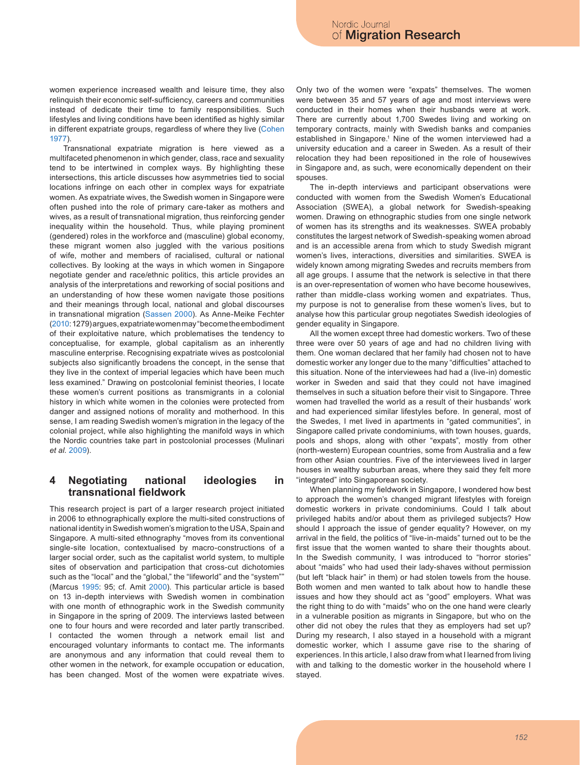women experience increased wealth and leisure time, they also relinquish their economic self-sufficiency, careers and communities instead of dedicate their time to family responsibilities. Such lifestyles and living conditions have been identified as highly similar in different expatriate groups, regardless of where they live ([Cohen](#page-7-23) [1977\)](#page-7-23).

Transnational expatriate migration is here viewed as a multifaceted phenomenon in which gender, class, race and sexuality tend to be intertwined in complex ways. By highlighting these intersections, this article discusses how asymmetries tied to social locations infringe on each other in complex ways for expatriate women. As expatriate wives, the Swedish women in Singapore were often pushed into the role of primary care-taker as mothers and wives, as a result of transnational migration, thus reinforcing gender inequality within the household. Thus, while playing prominent (gendered) roles in the workforce and (masculine) global economy, these migrant women also juggled with the various positions of wife, mother and members of racialised, cultural or national collectives. By looking at the ways in which women in Singapore negotiate gender and race/ethnic politics, this article provides an analysis of the interpretations and reworking of social positions and an understanding of how these women navigate those positions and their meanings through local, national and global discourses in transnational migration [\(Sassen 2000\)](#page-7-24). As Anne-Meike Fechter ([2010](#page-7-25): 1279) argues, expatriate women may "become the embodiment of their exploitative nature, which problematises the tendency to conceptualise, for example, global capitalism as an inherently masculine enterprise. Recognising expatriate wives as postcolonial subjects also significantly broadens the concept, in the sense that they live in the context of imperial legacies which have been much less examined." Drawing on postcolonial feminist theories, I locate these women's current positions as transmigrants in a colonial history in which white women in the colonies were protected from danger and assigned notions of morality and motherhood. In this sense, I am reading Swedish women's migration in the legacy of the colonial project, while also highlighting the manifold ways in which the Nordic countries take part in postcolonial processes (Mulinari *et al.* [2009\)](#page-7-26).

#### **4 Negotiating national ideologies in transnational fieldwork**

This research project is part of a larger research project initiated in 2006 to ethnographically explore the multi-sited constructions of national identity in Swedish women's migration to the USA, Spain and Singapore. A multi-sited ethnography "moves from its conventional single-site location, contextualised by macro-constructions of a larger social order, such as the capitalist world system, to multiple sites of observation and participation that cross-cut dichotomies such as the "local" and the "global," the "lifeworld" and the "system"" (Marcus [1995:](#page-7-27) 95; cf. Amit [2000](#page-6-4)). This particular article is based on 13 in-depth interviews with Swedish women in combination with one month of ethnographic work in the Swedish community in Singapore in the spring of 2009. The interviews lasted between one to four hours and were recorded and later partly transcribed. I contacted the women through a network email list and encouraged voluntary informants to contact me. The informants are anonymous and any information that could reveal them to other women in the network, for example occupation or education, has been changed. Most of the women were expatriate wives.

Only two of the women were "expats" themselves. The women were between 35 and 57 years of age and most interviews were conducted in their homes when their husbands were at work. There are currently about 1,700 Swedes living and working on temporary contracts, mainly with Swedish banks and companies established in Singapore.<sup>1</sup> Nine of the women interviewed had a university education and a career in Sweden. As a result of their relocation they had been repositioned in the role of housewives in Singapore and, as such, were economically dependent on their spouses.

The in-depth interviews and participant observations were conducted with women from the Swedish Women's Educational Association (SWEA), a global network for Swedish-speaking women. Drawing on ethnographic studies from one single network of women has its strengths and its weaknesses. SWEA probably constitutes the largest network of Swedish-speaking women abroad and is an accessible arena from which to study Swedish migrant women's lives, interactions, diversities and similarities. SWEA is widely known among migrating Swedes and recruits members from all age groups. I assume that the network is selective in that there is an over-representation of women who have become housewives, rather than middle-class working women and expatriates. Thus, my purpose is not to generalise from these women's lives, but to analyse how this particular group negotiates Swedish ideologies of gender equality in Singapore.

All the women except three had domestic workers. Two of these three were over 50 years of age and had no children living with them. One woman declared that her family had chosen not to have domestic worker any longer due to the many "difficulties" attached to this situation. None of the interviewees had had a (live-in) domestic worker in Sweden and said that they could not have imagined themselves in such a situation before their visit to Singapore. Three women had travelled the world as a result of their husbands' work and had experienced similar lifestyles before. In general, most of the Swedes, I met lived in apartments in "gated communities", in Singapore called private condominiums, with town houses, guards, pools and shops, along with other "expats", mostly from other (north-western) European countries, some from Australia and a few from other Asian countries. Five of the interviewees lived in larger houses in wealthy suburban areas, where they said they felt more "integrated" into Singaporean society.

When planning my fieldwork in Singapore, I wondered how best to approach the women's changed migrant lifestyles with foreign domestic workers in private condominiums. Could I talk about privileged habits and/or about them as privileged subjects? How should I approach the issue of gender equality? However, on my arrival in the field, the politics of "live-in-maids" turned out to be the first issue that the women wanted to share their thoughts about. In the Swedish community, I was introduced to "horror stories" about "maids" who had used their lady-shaves without permission (but left "black hair" in them) or had stolen towels from the house. Both women and men wanted to talk about how to handle these issues and how they should act as "good" employers. What was the right thing to do with "maids" who on the one hand were clearly in a vulnerable position as migrants in Singapore, but who on the other did not obey the rules that they as employers had set up? During my research, I also stayed in a household with a migrant domestic worker, which I assume gave rise to the sharing of experiences. In this article, I also draw from what I learned from living with and talking to the domestic worker in the household where I stayed.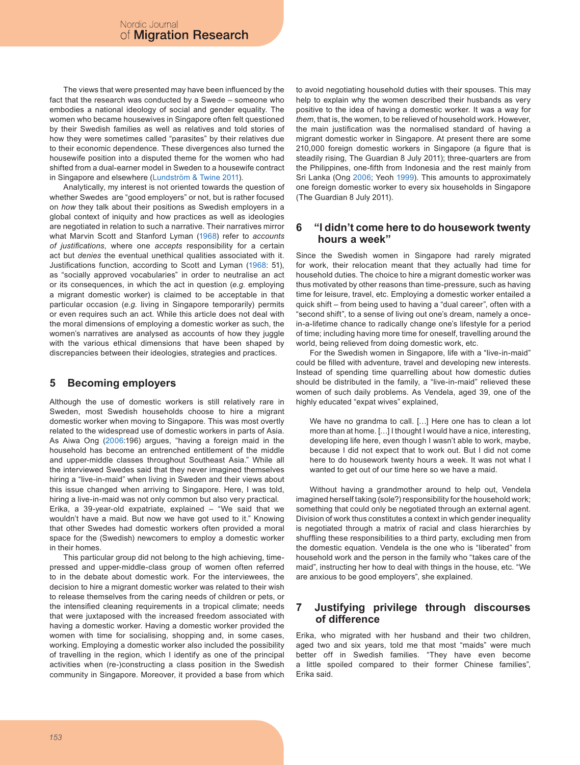The views that were presented may have been influenced by the fact that the research was conducted by a Swede – someone who embodies a national ideology of social and gender equality. The women who became housewives in Singapore often felt questioned by their Swedish families as well as relatives and told stories of how they were sometimes called "parasites" by their relatives due to their economic dependence. These divergences also turned the housewife position into a disputed theme for the women who had shifted from a dual-earner model in Sweden to a housewife contract in Singapore and elsewhere ([Lundström & Twine 2011](#page-7-28)).

Analytically, my interest is not oriented towards the question of whether Swedes are "good employers" or not, but is rather focused on *how* they talk about their positions as Swedish employers in a global context of iniquity and how practices as well as ideologies are negotiated in relation to such a narrative. Their narratives mirror what Marvin Scott and Stanford Lyman [\(1968](#page-7-29)) refer to *accounts of justifications*, where one *accepts* responsibility for a certain act but *denies* the eventual unethical qualities associated with it. Justifications function, according to Scott and Lyman [\(1968](#page-7-29): 51), as "socially approved vocabularies" in order to neutralise an act or its consequences, in which the act in question (*e.g*. employing a migrant domestic worker) is claimed to be acceptable in that particular occasion (*e.g.* living in Singapore temporarily) permits or even requires such an act. While this article does not deal with the moral dimensions of employing a domestic worker as such, the women's narratives are analysed as accounts of how they juggle with the various ethical dimensions that have been shaped by discrepancies between their ideologies, strategies and practices.

## **5 Becoming employers**

Although the use of domestic workers is still relatively rare in Sweden, most Swedish households choose to hire a migrant domestic worker when moving to Singapore. This was most overtly related to the widespread use of domestic workers in parts of Asia. As Aiwa Ong [\(2006:](#page-7-30)196) argues, "having a foreign maid in the household has become an entrenched entitlement of the middle and upper-middle classes throughout Southeast Asia." While all the interviewed Swedes said that they never imagined themselves hiring a "live-in-maid" when living in Sweden and their views about this issue changed when arriving to Singapore. Here, I was told, hiring a live-in-maid was not only common but also very practical. Erika, a 39-year-old expatriate, explained – "We said that we wouldn't have a maid. But now we have got used to it." Knowing that other Swedes had domestic workers often provided a moral space for the (Swedish) newcomers to employ a domestic worker in their homes.

This particular group did not belong to the high achieving, timepressed and upper-middle-class group of women often referred to in the debate about domestic work. For the interviewees, the decision to hire a migrant domestic worker was related to their wish to release themselves from the caring needs of children or pets, or the intensified cleaning requirements in a tropical climate; needs that were juxtaposed with the increased freedom associated with having a domestic worker. Having a domestic worker provided the women with time for socialising, shopping and, in some cases, working. Employing a domestic worker also included the possibility of travelling in the region, which I identify as one of the principal activities when (re-)constructing a class position in the Swedish community in Singapore. Moreover, it provided a base from which to avoid negotiating household duties with their spouses. This may help to explain why the women described their husbands as very positive to the idea of having a domestic worker. It was a way for *them*, that is, the women, to be relieved of household work. However, the main justification was the normalised standard of having a migrant domestic worker in Singapore. At present there are some 210,000 foreign domestic workers in Singapore (a figure that is steadily rising, The Guardian 8 July 2011); three-quarters are from the Philippines, one-fifth from Indonesia and the rest mainly from Sri Lanka (Ong [2006](#page-7-30); Yeoh [1999](#page-8-4)). This amounts to approximately one foreign domestic worker to every six households in Singapore (The Guardian 8 July 2011).

#### **6 "I didn't come here to do housework twenty hours a week"**

Since the Swedish women in Singapore had rarely migrated for work, their relocation meant that they actually had time for household duties. The choice to hire a migrant domestic worker was thus motivated by other reasons than time-pressure, such as having time for leisure, travel, etc. Employing a domestic worker entailed a quick shift – from being used to having a "dual career", often with a "second shift", to a sense of living out one's dream, namely a oncein-a-lifetime chance to radically change one's lifestyle for a period of time; including having more time for oneself, travelling around the world, being relieved from doing domestic work, etc.

For the Swedish women in Singapore, life with a "live-in-maid" could be filled with adventure, travel and developing new interests. Instead of spending time quarrelling about how domestic duties should be distributed in the family, a "live-in-maid" relieved these women of such daily problems. As Vendela, aged 39, one of the highly educated "expat wives" explained,

We have no grandma to call. [...] Here one has to clean a lot more than at home. […] I thought I would have a nice, interesting, developing life here, even though I wasn't able to work, maybe, because I did not expect that to work out. But I did not come here to do housework twenty hours a week. It was not what I wanted to get out of our time here so we have a maid.

Without having a grandmother around to help out, Vendela imagined herself taking (sole?) responsibility for the household work; something that could only be negotiated through an external agent. Division of work thus constitutes a context in which gender inequality is negotiated through a matrix of racial and class hierarchies by shuffling these responsibilities to a third party, excluding men from the domestic equation. Vendela is the one who is "liberated" from household work and the person in the family who "takes care of the maid", instructing her how to deal with things in the house, etc. "We are anxious to be good employers", she explained.

#### **7 Justifying privilege through discourses of difference**

Erika, who migrated with her husband and their two children, aged two and six years, told me that most "maids" were much better off in Swedish families. "They have even become a little spoiled compared to their former Chinese families", Erika said.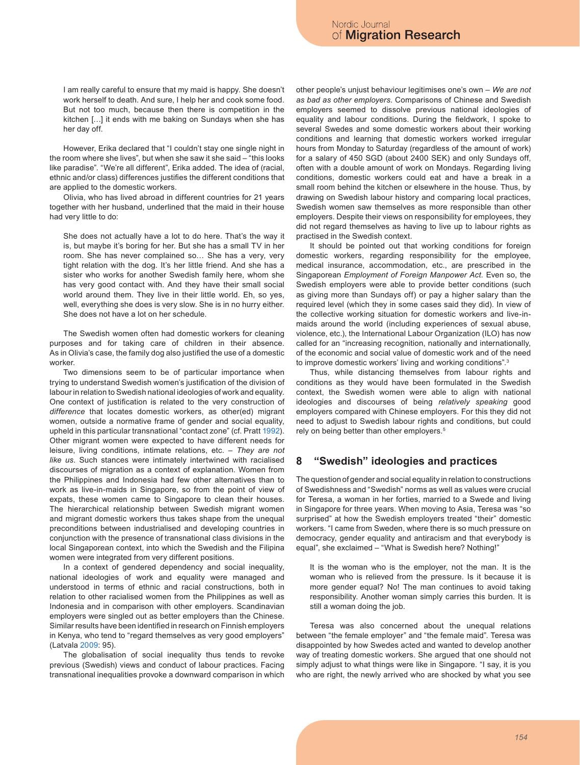I am really careful to ensure that my maid is happy. She doesn't work herself to death. And sure, I help her and cook some food. But not too much, because then there is competition in the kitchen […] it ends with me baking on Sundays when she has her day off.

However, Erika declared that "I couldn't stay one single night in the room where she lives", but when she saw it she said – "this looks like paradise". "We're all different", Erika added. The idea of (racial, ethnic and/or class) differences justifies the different conditions that are applied to the domestic workers.

Olivia, who has lived abroad in different countries for 21 years together with her husband, underlined that the maid in their house had very little to do:

She does not actually have a lot to do here. That's the way it is, but maybe it's boring for her. But she has a small TV in her room. She has never complained so… She has a very, very tight relation with the dog. It's her little friend. And she has a sister who works for another Swedish family here, whom she has very good contact with. And they have their small social world around them. They live in their little world. Eh, so yes, well, everything she does is very slow. She is in no hurry either. She does not have a lot on her schedule.

The Swedish women often had domestic workers for cleaning purposes and for taking care of children in their absence. As in Olivia's case, the family dog also justified the use of a domestic worker.

Two dimensions seem to be of particular importance when trying to understand Swedish women's justification of the division of labour in relation to Swedish national ideologies of work and equality. One context of justification is related to the very construction of *difference* that locates domestic workers, as other(ed) migrant women, outside a normative frame of gender and social equality, upheld in this particular transnational "contact zone" (cf. Pratt [1992](#page-7-31)). Other migrant women were expected to have different needs for leisure, living conditions, intimate relations, etc. – *They are not like us*. Such stances were intimately intertwined with racialised discourses of migration as a context of explanation. Women from the Philippines and Indonesia had few other alternatives than to work as live-in-maids in Singapore, so from the point of view of expats, these women came to Singapore to clean their houses. The hierarchical relationship between Swedish migrant women and migrant domestic workers thus takes shape from the unequal preconditions between industrialised and developing countries in conjunction with the presence of transnational class divisions in the local Singaporean context, into which the Swedish and the Filipina women were integrated from very different positions.

In a context of gendered dependency and social inequality, national ideologies of work and equality were managed and understood in terms of ethnic and racial constructions, both in relation to other racialised women from the Philippines as well as Indonesia and in comparison with other employers. Scandinavian employers were singled out as better employers than the Chinese. Similar results have been identified in research on Finnish employers in Kenya, who tend to "regard themselves as very good employers" (Latvala [2009:](#page-7-8) 95).

The globalisation of social inequality thus tends to revoke previous (Swedish) views and conduct of labour practices. Facing transnational inequalities provoke a downward comparison in which other people's unjust behaviour legitimises one's own – *We are not as bad as other employers*. Comparisons of Chinese and Swedish employers seemed to dissolve previous national ideologies of equality and labour conditions. During the fieldwork, I spoke to several Swedes and some domestic workers about their working conditions and learning that domestic workers worked irregular hours from Monday to Saturday (regardless of the amount of work) for a salary of 450 SGD (about 2400 SEK) and only Sundays off, often with a double amount of work on Mondays. Regarding living conditions, domestic workers could eat and have a break in a small room behind the kitchen or elsewhere in the house. Thus, by drawing on Swedish labour history and comparing local practices, Swedish women saw themselves as more responsible than other employers. Despite their views on responsibility for employees, they did not regard themselves as having to live up to labour rights as practised in the Swedish context.

It should be pointed out that working conditions for foreign domestic workers, regarding responsibility for the employee, medical insurance, accommodation, etc., are prescribed in the Singaporean *Employment of Foreign Manpower Act.* Even so, the Swedish employers were able to provide better conditions (such as giving more than Sundays off) or pay a higher salary than the required level (which they in some cases said they did). In view of the collective working situation for domestic workers and live-inmaids around the world (including experiences of sexual abuse, violence, etc.), the International Labour Organization (ILO) has now called for an "increasing recognition, nationally and internationally, of the economic and social value of domestic work and of the need to improve domestic workers' living and working conditions".<sup>3</sup>

Thus, while distancing themselves from labour rights and conditions as they would have been formulated in the Swedish context, the Swedish women were able to align with national ideologies and discourses of being *relatively speaking* good employers compared with Chinese employers. For this they did not need to adjust to Swedish labour rights and conditions, but could rely on being better than other employers.<sup>5</sup>

### **8 "Swedish" ideologies and practices**

The question of gender and social equality in relation to constructions of Swedishness and "Swedish" norms as well as values were crucial for Teresa, a woman in her forties, married to a Swede and living in Singapore for three years. When moving to Asia, Teresa was "so surprised" at how the Swedish employers treated "their" domestic workers. "I came from Sweden, where there is so much pressure on democracy, gender equality and antiracism and that everybody is equal", she exclaimed – "What is Swedish here? Nothing!"

It is the woman who is the employer, not the man. It is the woman who is relieved from the pressure. Is it because it is more gender equal? No! The man continues to avoid taking responsibility. Another woman simply carries this burden. It is still a woman doing the job.

Teresa was also concerned about the unequal relations between "the female employer" and "the female maid". Teresa was disappointed by how Swedes acted and wanted to develop another way of treating domestic workers. She argued that one should not simply adjust to what things were like in Singapore. "I say, it is you who are right, the newly arrived who are shocked by what you see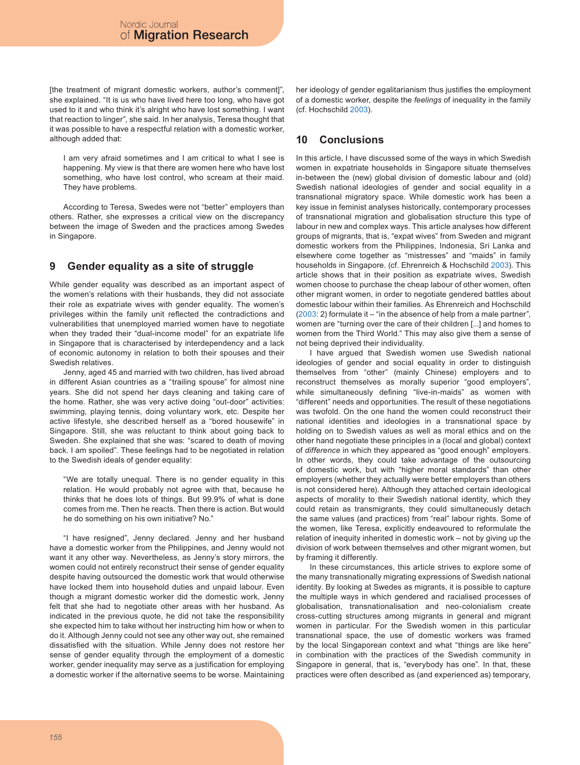[the treatment of migrant domestic workers, author's comment]", she explained. "It is us who have lived here too long, who have got used to it and who think it's alright who have lost something. I want that reaction to linger", she said. In her analysis, Teresa thought that it was possible to have a respectful relation with a domestic worker, although added that:

I am very afraid sometimes and I am critical to what I see is happening. My view is that there are women here who have lost something, who have lost control, who scream at their maid. They have problems.

According to Teresa, Swedes were not "better" employers than others. Rather, she expresses a critical view on the discrepancy between the image of Sweden and the practices among Swedes in Singapore.

# **9 Gender equality as a site of struggle**

While gender equality was described as an important aspect of the women's relations with their husbands, they did not associate their role as expatriate wives with gender equality. The women's privileges within the family unit reflected the contradictions and vulnerabilities that unemployed married women have to negotiate when they traded their "dual-income model" for an expatriate life in Singapore that is characterised by interdependency and a lack of economic autonomy in relation to both their spouses and their Swedish relatives.

Jenny, aged 45 and married with two children, has lived abroad in different Asian countries as a "trailing spouse" for almost nine years. She did not spend her days cleaning and taking care of the home. Rather, she was very active doing "out-door" activities: swimming, playing tennis, doing voluntary work, etc. Despite her active lifestyle, she described herself as a "bored housewife" in Singapore. Still, she was reluctant to think about going back to Sweden. She explained that she was: "scared to death of moving back. I am spoiled". These feelings had to be negotiated in relation to the Swedish ideals of gender equality:

"We are totally unequal. There is no gender equality in this relation. He would probably not agree with that, because he thinks that he does lots of things. But 99.9% of what is done comes from me. Then he reacts. Then there is action. But would he do something on his own initiative? No."

"I have resigned", Jenny declared. Jenny and her husband have a domestic worker from the Philippines, and Jenny would not want it any other way. Nevertheless, as Jenny's story mirrors, the women could not entirely reconstruct their sense of gender equality despite having outsourced the domestic work that would otherwise have locked them into household duties and unpaid labour. Even though a migrant domestic worker did the domestic work, Jenny felt that she had to negotiate other areas with her husband. As indicated in the previous quote, he did not take the responsibility she expected him to take without her instructing him how or when to do it. Although Jenny could not see any other way out, she remained dissatisfied with the situation. While Jenny does not restore her sense of gender equality through the employment of a domestic worker, gender inequality may serve as a justification for employing a domestic worker if the alternative seems to be worse. Maintaining her ideology of gender egalitarianism thus justifies the employment of a domestic worker, despite the *feelings* of inequality in the family (cf. Hochschild [2003\)](#page-7-10).

# **10 Conclusions**

In this article, I have discussed some of the ways in which Swedish women in expatriate households in Singapore situate themselves in-between the (new) global division of domestic labour and (old) Swedish national ideologies of gender and social equality in a transnational migratory space. While domestic work has been a key issue in feminist analyses historically, contemporary processes of transnational migration and globalisation structure this type of labour in new and complex ways. This article analyses how different groups of migrants, that is, "expat wives" from Sweden and migrant domestic workers from the Philippines, Indonesia, Sri Lanka and elsewhere come together as "mistresses" and "maids" in family households in Singapore. (cf. Ehrenreich & Hochschild [2003](#page-7-32)). This article shows that in their position as expatriate wives, Swedish women choose to purchase the cheap labour of other women, often other migrant women, in order to negotiate gendered battles about domestic labour within their families. As Ehrenreich and Hochschild ([2003:](#page-7-32) 2) formulate it – "in the absence of help from a male partner", women are "turning over the care of their children [...] and homes to women from the Third World." This may also give them a sense of not being deprived their individuality.

I have argued that Swedish women use Swedish national ideologies of gender and social equality in order to distinguish themselves from "other" (mainly Chinese) employers and to reconstruct themselves as morally superior "good employers", while simultaneously defining "live-in-maids" as women with "different" needs and opportunities. The result of these negotiations was twofold. On the one hand the women could reconstruct their national identities and ideologies in a transnational space by holding on to Swedish values as well as moral ethics and on the other hand negotiate these principles in a (local and global) context of *difference* in which they appeared as "good enough" employers. In other words, they could take advantage of the outsourcing of domestic work, but with "higher moral standards" than other employers (whether they actually were better employers than others is not considered here). Although they attached certain ideological aspects of morality to their Swedish national identity, which they could retain as transmigrants, they could simultaneously detach the same values (and practices) from "real" labour rights. Some of the women, like Teresa, explicitly endeavoured to reformulate the relation of inequity inherited in domestic work – not by giving up the division of work between themselves and other migrant women, but by framing it differently.

In these circumstances, this article strives to explore some of the many transnationally migrating expressions of Swedish national identity. By looking at Swedes as migrants, it is possible to capture the multiple ways in which gendered and racialised processes of globalisation, transnationalisation and neo-colonialism create cross-cutting structures among migrants in general and migrant women in particular. For the Swedish women in this particular transnational space, the use of domestic workers was framed by the local Singaporean context and what "things are like here" in combination with the practices of the Swedish community in Singapore in general, that is, "everybody has one". In that, these practices were often described as (and experienced as) temporary,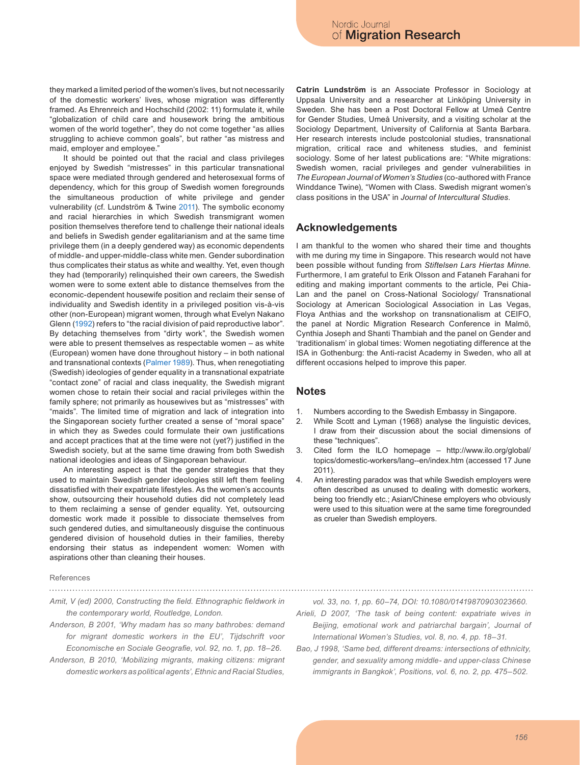they marked a limited period of the women's lives, but not necessarily of the domestic workers' lives, whose migration was differently framed. As Ehrenreich and Hochschild (2002: 11) formulate it, while "globalization of child care and housework bring the ambitious women of the world together", they do not come together "as allies struggling to achieve common goals", but rather "as mistress and maid, employer and employee."

It should be pointed out that the racial and class privileges enjoyed by Swedish "mistresses" in this particular transnational space were mediated through gendered and heterosexual forms of dependency, which for this group of Swedish women foregrounds the simultaneous production of white privilege and gender vulnerability (cf. Lundström & Twine [2011](#page-7-28)). The symbolic economy and racial hierarchies in which Swedish transmigrant women position themselves therefore tend to challenge their national ideals and beliefs in Swedish gender egalitarianism and at the same time privilege them (in a deeply gendered way) as economic dependents of middle- and upper-middle-class white men. Gender subordination thus complicates their status as white and wealthy. Yet, even though they had (temporarily) relinquished their own careers, the Swedish women were to some extent able to distance themselves from the economic-dependent housewife position and reclaim their sense of individuality and Swedish identity in a privileged position vis-à-vis other (non-European) migrant women, through what Evelyn Nakano Glenn [\(1992\)](#page-7-33) refers to "the racial division of paid reproductive labor". By detaching themselves from "dirty work", the Swedish women were able to present themselves as respectable women – as white (European) women have done throughout history – in both national and transnational contexts ([Palmer 1989](#page-7-9)). Thus, when renegotiating (Swedish) ideologies of gender equality in a transnational expatriate "contact zone" of racial and class inequality, the Swedish migrant women chose to retain their social and racial privileges within the family sphere; not primarily as housewives but as "mistresses" with "maids". The limited time of migration and lack of integration into the Singaporean society further created a sense of "moral space" in which they as Swedes could formulate their own justifications and accept practices that at the time were not (yet?) justified in the Swedish society, but at the same time drawing from both Swedish national ideologies and ideas of Singaporean behaviour.

An interesting aspect is that the gender strategies that they used to maintain Swedish gender ideologies still left them feeling dissatisfied with their expatriate lifestyles. As the women's accounts show, outsourcing their household duties did not completely lead to them reclaiming a sense of gender equality. Yet, outsourcing domestic work made it possible to dissociate themselves from such gendered duties, and simultaneously disguise the continuous gendered division of household duties in their families, thereby endorsing their status as independent women: Women with aspirations other than cleaning their houses.

#### References

*Amit, V (ed) 2000, Constructing the field. Ethnographic fieldwork in* 

<span id="page-6-4"></span>*the contemporary world, Routledge, London.*

- <span id="page-6-0"></span>*Anderson, B 2001, 'Why madam has so many bathrobes: demand for migrant domestic workers in the EU', Tijdschrift voor Economische en Sociale Geografie, vol. 92, no. 1, pp. 18–26.*
- <span id="page-6-1"></span>*Anderson, B 2010, 'Mobilizing migrants, making citizens: migrant domestic workers as political agents', Ethnic and Racial Studies,*

**Catrin Lundström** is an Associate Professor in Sociology at Uppsala University and a researcher at Linköping University in Sweden. She has been a Post Doctoral Fellow at Umeå Centre for Gender Studies, Umeå University, and a visiting scholar at the Sociology Department, University of California at Santa Barbara. Her research interests include postcolonial studies, transnational migration, critical race and whiteness studies, and feminist sociology. Some of her latest publications are: "White migrations: Swedish women, racial privileges and gender vulnerabilities in *The European Journal of Women's Studies* (co-authored with France Winddance Twine), "Women with Class. Swedish migrant women's class positions in the USA" in *Journal of Intercultural Studies*.

### **Acknowledgements**

I am thankful to the women who shared their time and thoughts with me during my time in Singapore. This research would not have been possible without funding from *Stiftelsen Lars Hiertas Minne.*  Furthermore, I am grateful to Erik Olsson and Fataneh Farahani for editing and making important comments to the article, Pei Chia-Lan and the panel on Cross-National Sociology/ Transnational Sociology at American Sociological Association in Las Vegas, Floya Anthias and the workshop on transnationalism at CEIFO, the panel at Nordic Migration Research Conference in Malmö, Cynthia Joseph and Shanti Thambiah and the panel on Gender and 'traditionalism' in global times: Women negotiating difference at the ISA in Gothenburg: the Anti-racist Academy in Sweden, who all at different occasions helped to improve this paper.

### **Notes**

- Numbers according to the Swedish Embassy in Singapore. 1.
- While Scott and Lyman (1968) analyse the linguistic devices, I draw from their discussion about the social dimensions of these "techniques". 2.
- Cited form the ILO homepage http://www.ilo.org/global/ topics/domestic-workers/lang--en/index.htm (accessed 17 June 2011). 3.
- An interesting paradox was that while Swedish employers were often described as unused to dealing with domestic workers, being too friendly etc.; Asian/Chinese employers who obviously were used to this situation were at the same time foregrounded as crueler than Swedish employers. 4.

*vol. 33, no. 1, pp. 60–74, DOI: 10.1080/01419870903023660.*

- <span id="page-6-3"></span>*Arieli, D 2007, 'The task of being content: expatriate wives in Beijing, emotional work and patriarchal bargain', Journal of International Women's Studies, vol. 8, no. 4, pp. 18–31.*
- <span id="page-6-2"></span>*Bao, J 1998, 'Same bed, different dreams: intersections of ethnicity, gender, and sexuality among middle- and upper-class Chinese immigrants in Bangkok', Positions, vol. 6, no. 2, pp. 475–502.*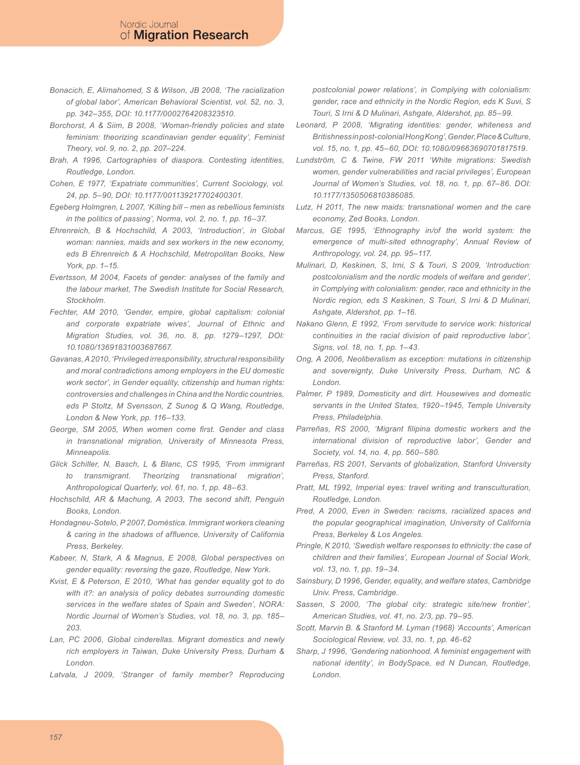- <span id="page-7-0"></span>*Bonacich, E, Alimahomed, S & Wilson, JB 2008, 'The racialization of global labor', American Behavioral Scientist, vol. 52, no. 3, pp. 342–355, DOI: 10.1177/0002764208323510.*
- <span id="page-7-13"></span>*Borchorst, A & Siim, B 2008, 'Woman-friendly policies and state feminism: theorizing scandinavian gender equality', Feminist Theory, vol. 9, no. 2, pp. 207–224.*
- <span id="page-7-21"></span>*Brah, A 1996, Cartographies of diaspora. Contesting identities, Routledge, London.*
- <span id="page-7-23"></span>*Cohen, E 1977, 'Expatriate communities', Current Sociology, vol. 24, pp. 5–90, DOI: 10.1177/001139217702400301.*
- <span id="page-7-19"></span>*Egeberg Holmgren, L 2007, 'Killing bill – men as rebellious feminists in the politics of passing', Norma, vol. 2, no. 1, pp. 16–37.*
- <span id="page-7-32"></span>*Ehrenreich, B & Hochschild, A 2003, 'Introduction', in Global woman: nannies, maids and sex workers in the new economy, eds B Ehrenreich & A Hochschild, Metropolitan Books, New York, pp. 1–15.*
- <span id="page-7-18"></span>*Evertsson, M 2004, Facets of gender: analyses of the family and the labour market, The Swedish Institute for Social Research, Stockholm.*
- <span id="page-7-25"></span>*Fechter, AM 2010, 'Gender, empire, global capitalism: colonial and corporate expatriate wives', Journal of Ethnic and Migration Studies, vol. 36, no. 8, pp. 1279–1297, DOI: 10.1080/13691831003687667.*
- <span id="page-7-6"></span>*Gavanas, A 2010, 'Privileged irresponsibility, structural responsibility and moral contradictions among employers in the EU domestic work sector', in Gender equality, citizenship and human rights: controversies and challenges in China and the Nordic countries, eds P Stoltz, M Svensson, Z Sunog & Q Wang, Routledge, London & New York, pp. 116–133.*
- <span id="page-7-1"></span>*George, SM 2005, When women come first. Gender and class in transnational migration, University of Minnesota Press, Minneapolis.*
- <span id="page-7-20"></span>*Glick Schiller, N, Basch, L & Blanc, CS 1995, 'From immigrant to transmigrant. Theorizing transnational migration', Anthropological Quarterly, vol. 61, no. 1, pp. 48–63.*
- <span id="page-7-10"></span>*Hochschild, AR & Machung, A 2003, The second shift, Penguin Books, London.*
- <span id="page-7-4"></span>*Hondagneu-Sotelo, P 2007, Doméstica. Immigrant workers cleaning & caring in the shadows of affluence, University of California Press, Berkeley.*
- <span id="page-7-15"></span>*Kabeer, N, Stark, A & Magnus, E 2008, Global perspectives on gender equality: reversing the gaze, Routledge, New York.*
- <span id="page-7-12"></span>*Kvist, E & Peterson, E 2010, 'What has gender equality got to do with it?: an analysis of policy debates surrounding domestic services in the welfare states of Spain and Sweden', NORA: Nordic Journal of Women's Studies, vol. 18, no. 3, pp. 185– 203.*
- <span id="page-7-7"></span>*Lan, PC 2006, Global cinderellas. Migrant domestics and newly rich employers in Taiwan, Duke University Press, Durham & London.*
- <span id="page-7-8"></span>*Latvala, J 2009, 'Stranger of family member? Reproducing*

*postcolonial power relations', in Complying with colonialism: gender, race and ethnicity in the Nordic Region, eds K Suvi, S Touri, S Irni & D Mulinari, Ashgate, Aldershot, pp. 85–99.*

- <span id="page-7-22"></span>*Leonard, P 2008, 'Migrating identities: gender, whiteness and Britishness in post-colonial Hong Kong', Gender, Place & Culture, vol. 15, no. 1, pp. 45–60, DOI: 10.1080/09663690701817519.*
- <span id="page-7-28"></span>*Lundström, C & Twine, FW 2011 'White migrations: Swedish women, gender vulnerabilities and racial privileges', European Journal of Women's Studies, vol. 18, no. 1, pp. 67–86. DOI: 10.1177/1350506810386085.*
- <span id="page-7-2"></span>*Lutz, H 2011, The new maids: transnational women and the care economy, Zed Books, London.*
- <span id="page-7-27"></span>*Marcus, GE 1995, 'Ethnography in/of the world system: the emergence of multi-sited ethnography', Annual Review of Anthropology, vol. 24, pp. 95–117.*
- <span id="page-7-26"></span>*Mulinari, D, Keskinen, S, Irni, S & Touri, S 2009, 'Introduction: postcolonialism and the nordic models of welfare and gender', in Complying with colonialism: gender, race and ethnicity in the Nordic region, eds S Keskinen, S Touri, S Irni & D Mulinari, Ashgate, Aldershot, pp. 1–16.*
- <span id="page-7-33"></span>*Nakano Glenn, E 1992, 'From servitude to service work: historical continuities in the racial division of paid reproductive labor', Signs, vol. 18, no. 1, pp. 1–43.*
- <span id="page-7-30"></span>*Ong, A 2006, Neoliberalism as exception: mutations in citizenship and sovereignty, Duke University Press, Durham, NC & London.*
- <span id="page-7-9"></span>*Palmer, P 1989, Domesticity and dirt. Housewives and domestic servants in the United States, 1920–1945, Temple University Press, Philadelphia.*
- <span id="page-7-3"></span>*Parreñas, RS 2000, 'Migrant filipina domestic workers and the international division of reproductive labor', Gender and Society, vol. 14, no. 4, pp. 560–580.*
- <span id="page-7-5"></span>*Parreñas, RS 2001, Servants of globalization, Stanford University Press, Stanford.*
- <span id="page-7-31"></span>*Pratt, ML 1992, Imperial eyes: travel writing and transculturation, Routledge, London.*
- <span id="page-7-16"></span>*Pred, A 2000, Even in Sweden: racisms, racialized spaces and the popular geographical imagination, University of California Press, Berkeley & Los Angeles.*
- <span id="page-7-17"></span>*Pringle, K 2010, 'Swedish welfare responses to ethnicity: the case of children and their families', European Journal of Social Work, vol. 13, no. 1, pp. 19–34.*
- <span id="page-7-14"></span>*Sainsbury, D 1996, Gender, equality, and welfare states, Cambridge Univ. Press, Cambridge.*
- <span id="page-7-24"></span>*Sassen, S 2000, 'The global city: strategic site/new frontier', American Studies, vol. 41, no. 2/3, pp. 79–95.*
- <span id="page-7-29"></span>*Scott, Marvin B. & Stanford M. Lyman (1968) 'Accounts', American Sociological Review, vol. 33, no. 1, pp. 46-62*
- <span id="page-7-11"></span>*Sharp, J 1996, 'Gendering nationhood. A feminist engagement with national identity', in BodySpace, ed N Duncan, Routledge, London.*